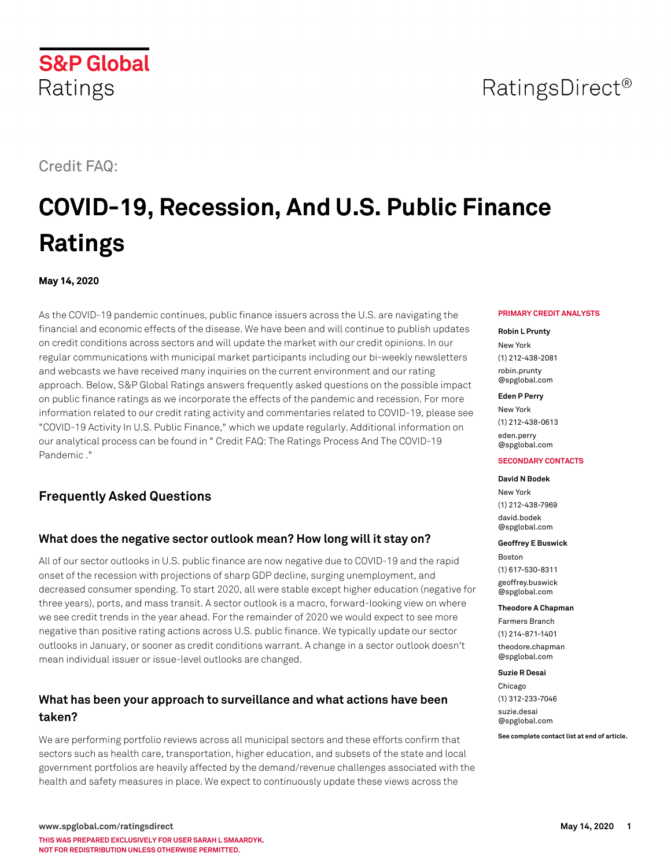## Credit FAQ:

Ratings

**S&P Global** 

# **COVID-19, Recession, And U.S. Public Finance Ratings**

**May 14, 2020**

As the COVID-19 pandemic continues, public finance issuers across the U.S. are navigating the financial and economic effects of the disease. We have been and will continue to publish updates on credit conditions across sectors and will update the market with our credit opinions. In our regular communications with municipal market participants including our bi-weekly newsletters and webcasts we have received many inquiries on the current environment and our rating approach. Below, S&P Global Ratings answers frequently asked questions on the possible impact on public finance ratings as we incorporate the effects of the pandemic and recession. For more information related to our credit rating activity and commentaries related to COVID-19, please see "COVID-19 Activity In U.S. Public Finance," which we update regularly. Additional information on our analytical process can be found in " Credit FAQ: The Ratings Process And The COVID-19 Pandemic ."

## **Frequently Asked Questions**

## **What does the negative sector outlook mean? How long will it stay on?**

All of our sector outlooks in U.S. public finance are now negative due to COVID-19 and the rapid onset of the recession with projections of sharp GDP decline, surging unemployment, and decreased consumer spending. To start 2020, all were stable except higher education (negative for three years), ports, and mass transit. A sector outlook is a macro, forward-looking view on where we see credit trends in the year ahead. For the remainder of 2020 we would expect to see more negative than positive rating actions across U.S. public finance. We typically update our sector outlooks in January, or sooner as credit conditions warrant. A change in a sector outlook doesn't mean individual issuer or issue-level outlooks are changed.

## **What has been your approach to surveillance and what actions have been taken?**

We are performing portfolio reviews across all municipal sectors and these efforts confirm that sectors such as health care, transportation, higher education, and subsets of the state and local government portfolios are heavily affected by the demand/revenue challenges associated with the health and safety measures in place. We expect to continuously update these views across the

#### **PRIMARY CREDIT ANALYSTS**

#### **Robin L Prunty**

New York (1) 212-438-2081 [robin.prunty](mailto: robin.prunty@spglobal.com) [@spglobal.com](mailto: robin.prunty@spglobal.com)

#### **Eden P Perry**

New York (1) 212-438-0613 [eden.perry](mailto: eden.perry@spglobal.com) [@spglobal.com](mailto: eden.perry@spglobal.com)

#### **SECONDARY CONTACTS**

#### **David N Bodek**

New York (1) 212-438-7969 [david.bodek](mailto: david.bodek@spglobal.com) [@spglobal.com](mailto: david.bodek@spglobal.com)

#### **Geoffrey E Buswick**

Boston (1) 617-530-8311 [geoffrey.buswick](mailto: geoffrey.buswick@spglobal.com) [@spglobal.com](mailto: geoffrey.buswick@spglobal.com)

#### **Theodore A Chapman**

Farmers Branch (1) 214-871-1401 [theodore.chapman](mailto: theodore.chapman@spglobal.com) [@spglobal.com](mailto: theodore.chapman@spglobal.com)

### **Suzie R Desai**

Chicago (1) 312-233-7046 [suzie.desai](mailto: suzie.desai@spglobal.com) [@spglobal.com](mailto: suzie.desai@spglobal.com)

**See complete contact list at end of article.**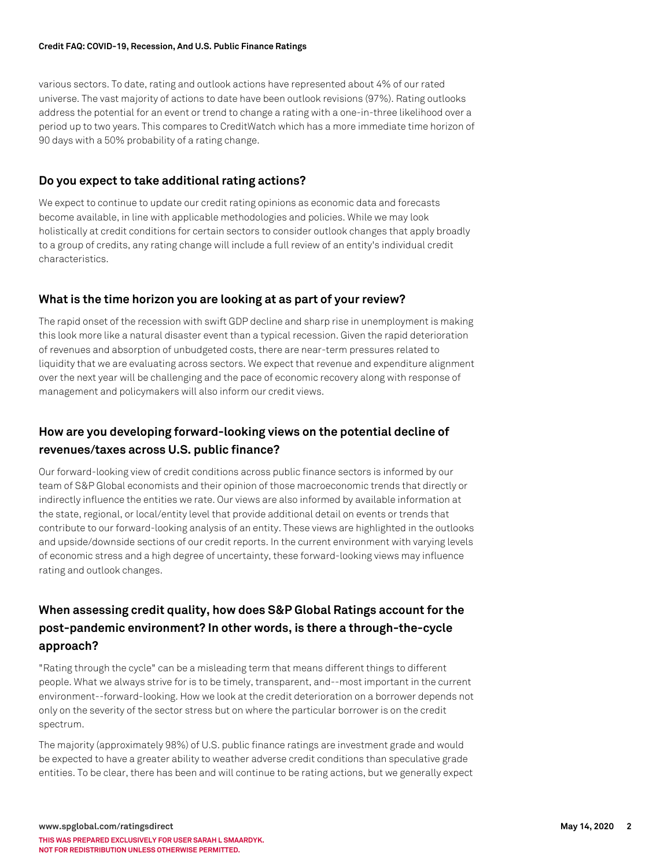### **Credit FAQ: COVID-19, Recession, And U.S. Public Finance Ratings**

various sectors. To date, rating and outlook actions have represented about 4% of our rated universe. The vast majority of actions to date have been outlook revisions (97%). Rating outlooks address the potential for an event or trend to change a rating with a one-in-three likelihood over a period up to two years. This compares to CreditWatch which has a more immediate time horizon of 90 days with a 50% probability of a rating change.

### **Do you expect to take additional rating actions?**

We expect to continue to update our credit rating opinions as economic data and forecasts become available, in line with applicable methodologies and policies. While we may look holistically at credit conditions for certain sectors to consider outlook changes that apply broadly to a group of credits, any rating change will include a full review of an entity's individual credit characteristics.

## **What is the time horizon you are looking at as part of your review?**

The rapid onset of the recession with swift GDP decline and sharp rise in unemployment is making this look more like a natural disaster event than a typical recession. Given the rapid deterioration of revenues and absorption of unbudgeted costs, there are near-term pressures related to liquidity that we are evaluating across sectors. We expect that revenue and expenditure alignment over the next year will be challenging and the pace of economic recovery along with response of management and policymakers will also inform our credit views.

## **How are you developing forward-looking views on the potential decline of revenues/taxes across U.S. public finance?**

Our forward-looking view of credit conditions across public finance sectors is informed by our team of S&P Global economists and their opinion of those macroeconomic trends that directly or indirectly influence the entities we rate. Our views are also informed by available information at the state, regional, or local/entity level that provide additional detail on events or trends that contribute to our forward-looking analysis of an entity. These views are highlighted in the outlooks and upside/downside sections of our credit reports. In the current environment with varying levels of economic stress and a high degree of uncertainty, these forward-looking views may influence rating and outlook changes.

## **When assessing credit quality, how does S&P Global Ratings account for the post-pandemic environment? In other words, is there a through-the-cycle approach?**

"Rating through the cycle" can be a misleading term that means different things to different people. What we always strive for is to be timely, transparent, and--most important in the current environment--forward-looking. How we look at the credit deterioration on a borrower depends not only on the severity of the sector stress but on where the particular borrower is on the credit spectrum.

The majority (approximately 98%) of U.S. public finance ratings are investment grade and would be expected to have a greater ability to weather adverse credit conditions than speculative grade entities. To be clear, there has been and will continue to be rating actions, but we generally expect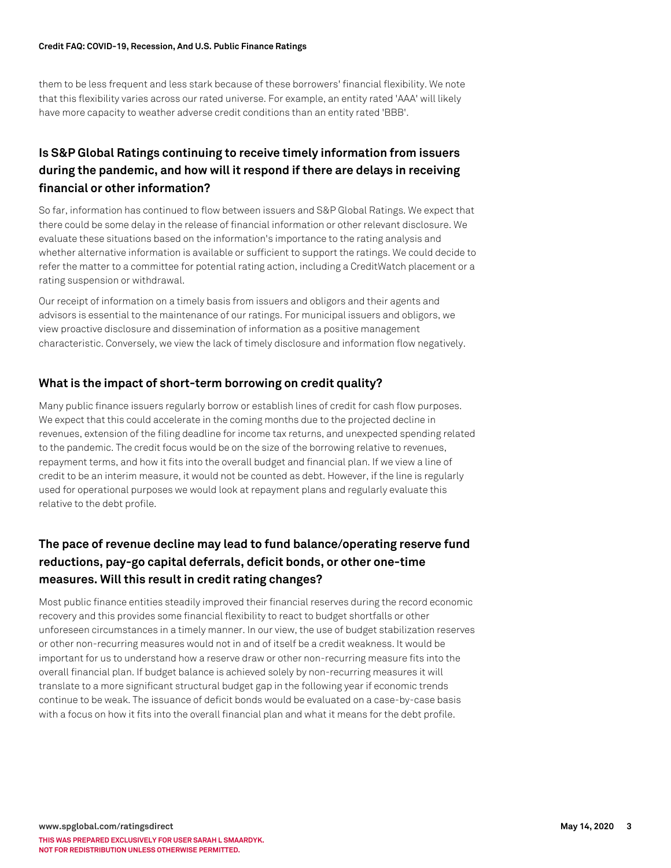them to be less frequent and less stark because of these borrowers' financial flexibility. We note that this flexibility varies across our rated universe. For example, an entity rated 'AAA' will likely have more capacity to weather adverse credit conditions than an entity rated 'BBB'.

## **Is S&P Global Ratings continuing to receive timely information from issuers during the pandemic, and how will it respond if there are delays in receiving financial or other information?**

So far, information has continued to flow between issuers and S&P Global Ratings. We expect that there could be some delay in the release of financial information or other relevant disclosure. We evaluate these situations based on the information's importance to the rating analysis and whether alternative information is available or sufficient to support the ratings. We could decide to refer the matter to a committee for potential rating action, including a CreditWatch placement or a rating suspension or withdrawal.

Our receipt of information on a timely basis from issuers and obligors and their agents and advisors is essential to the maintenance of our ratings. For municipal issuers and obligors, we view proactive disclosure and dissemination of information as a positive management characteristic. Conversely, we view the lack of timely disclosure and information flow negatively.

## **What is the impact of short-term borrowing on credit quality?**

Many public finance issuers regularly borrow or establish lines of credit for cash flow purposes. We expect that this could accelerate in the coming months due to the projected decline in revenues, extension of the filing deadline for income tax returns, and unexpected spending related to the pandemic. The credit focus would be on the size of the borrowing relative to revenues, repayment terms, and how it fits into the overall budget and financial plan. If we view a line of credit to be an interim measure, it would not be counted as debt. However, if the line is regularly used for operational purposes we would look at repayment plans and regularly evaluate this relative to the debt profile.

## **The pace of revenue decline may lead to fund balance/operating reserve fund reductions, pay-go capital deferrals, deficit bonds, or other one-time measures. Will this result in credit rating changes?**

Most public finance entities steadily improved their financial reserves during the record economic recovery and this provides some financial flexibility to react to budget shortfalls or other unforeseen circumstances in a timely manner. In our view, the use of budget stabilization reserves or other non-recurring measures would not in and of itself be a credit weakness. It would be important for us to understand how a reserve draw or other non-recurring measure fits into the overall financial plan. If budget balance is achieved solely by non-recurring measures it will translate to a more significant structural budget gap in the following year if economic trends continue to be weak. The issuance of deficit bonds would be evaluated on a case-by-case basis with a focus on how it fits into the overall financial plan and what it means for the debt profile.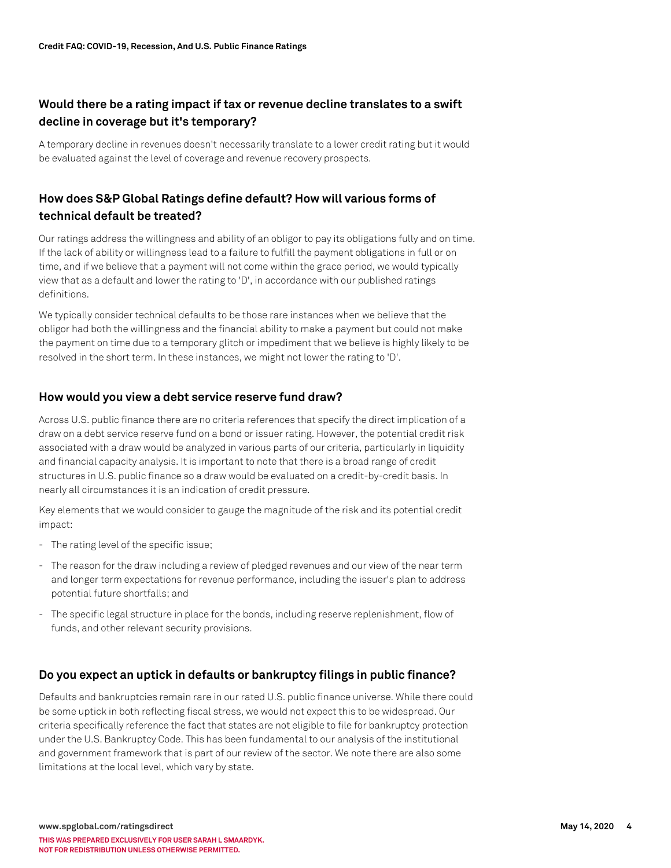## **Would there be a rating impact if tax or revenue decline translates to a swift decline in coverage but it's temporary?**

A temporary decline in revenues doesn't necessarily translate to a lower credit rating but it would be evaluated against the level of coverage and revenue recovery prospects.

## **How does S&P Global Ratings define default? How will various forms of technical default be treated?**

Our ratings address the willingness and ability of an obligor to pay its obligations fully and on time. If the lack of ability or willingness lead to a failure to fulfill the payment obligations in full or on time, and if we believe that a payment will not come within the grace period, we would typically view that as a default and lower the rating to 'D', in accordance with our published ratings definitions.

We typically consider technical defaults to be those rare instances when we believe that the obligor had both the willingness and the financial ability to make a payment but could not make the payment on time due to a temporary glitch or impediment that we believe is highly likely to be resolved in the short term. In these instances, we might not lower the rating to 'D'.

### **How would you view a debt service reserve fund draw?**

Across U.S. public finance there are no criteria references that specify the direct implication of a draw on a debt service reserve fund on a bond or issuer rating. However, the potential credit risk associated with a draw would be analyzed in various parts of our criteria, particularly in liquidity and financial capacity analysis. It is important to note that there is a broad range of credit structures in U.S. public finance so a draw would be evaluated on a credit-by-credit basis. In nearly all circumstances it is an indication of credit pressure.

Key elements that we would consider to gauge the magnitude of the risk and its potential credit impact:

- The rating level of the specific issue;
- The reason for the draw including a review of pledged revenues and our view of the near term and longer term expectations for revenue performance, including the issuer's plan to address potential future shortfalls; and
- The specific legal structure in place for the bonds, including reserve replenishment, flow of funds, and other relevant security provisions.

### **Do you expect an uptick in defaults or bankruptcy filings in public finance?**

Defaults and bankruptcies remain rare in our rated U.S. public finance universe. While there could be some uptick in both reflecting fiscal stress, we would not expect this to be widespread. Our criteria specifically reference the fact that states are not eligible to file for bankruptcy protection under the U.S. Bankruptcy Code. This has been fundamental to our analysis of the institutional and government framework that is part of our review of the sector. We note there are also some limitations at the local level, which vary by state.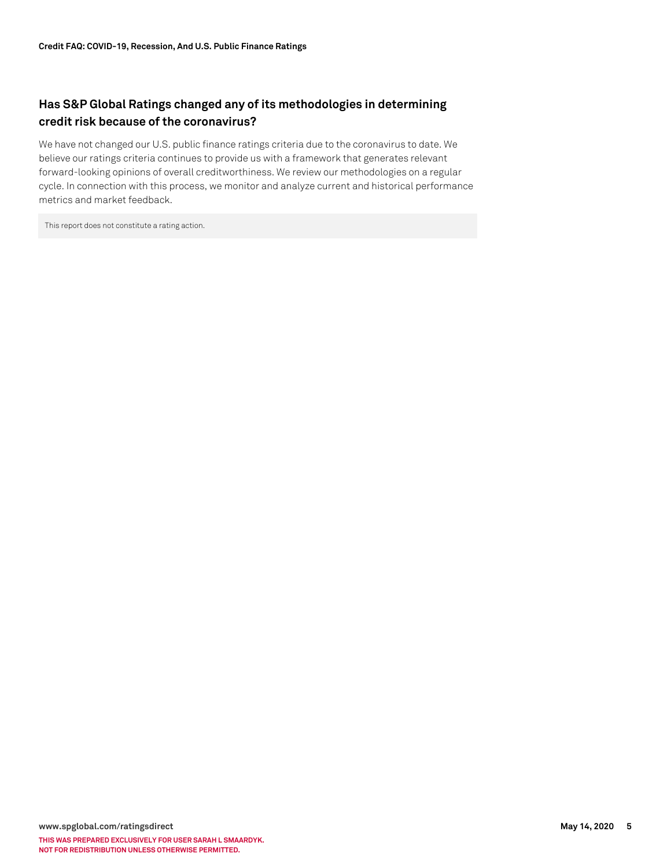## **Has S&P Global Ratings changed any of its methodologies in determining credit risk because of the coronavirus?**

We have not changed our U.S. public finance ratings criteria due to the coronavirus to date. We believe our ratings criteria continues to provide us with a framework that generates relevant forward-looking opinions of overall creditworthiness. We review our methodologies on a regular cycle. In connection with this process, we monitor and analyze current and historical performance metrics and market feedback.

This report does not constitute a rating action.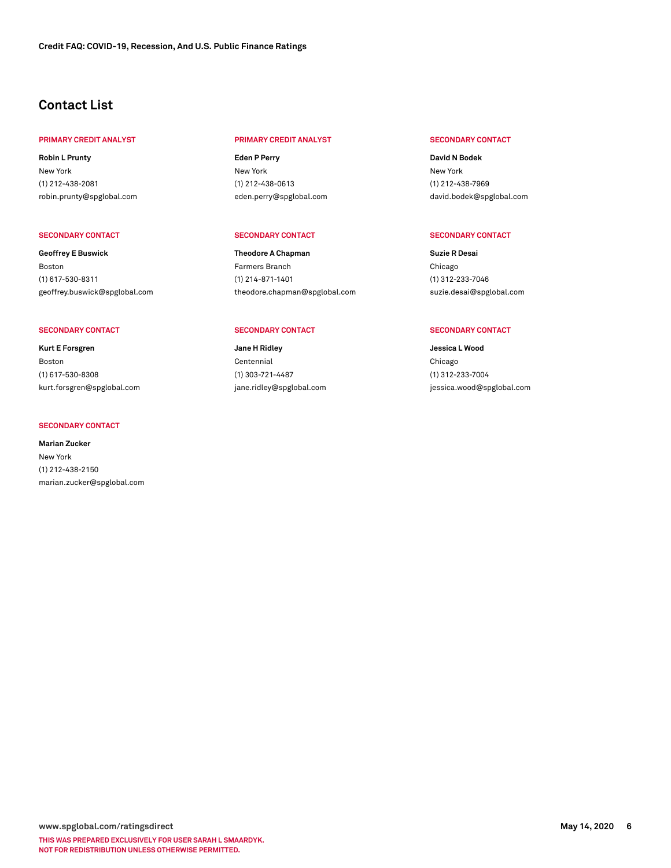## **Contact List**

#### **PRIMARY CREDIT ANALYST PRIMARY CREDIT ANALYST SECONDARY CONTACT**

**Robin L Prunty** New York (1) 212-438-2081 [robin.prunty@spglobal.com](mailto: robin.prunty@spglobal.com)

#### **SECONDARY CONTACT SECONDARY CONTACT SECONDARY CONTACT**

**Geoffrey E Buswick** Boston (1) 617-530-8311 [geoffrey.buswick@spglobal.com](mailto: geoffrey.buswick@spglobal.com)

**Kurt E Forsgren** Boston (1) 617-530-8308 [kurt.forsgren@spglobal.com](mailto: kurt.forsgren@spglobal.com)

#### **SECONDARY CONTACT**

**Marian Zucker** New York (1) 212-438-2150 [marian.zucker@spglobal.com](mailto: marian.zucker@spglobal.com)

**Eden P Perry** New York (1) 212-438-0613 [eden.perry@spglobal.com](mailto: eden.perry@spglobal.com)

**Theodore A Chapman** Farmers Branch (1) 214-871-1401 [theodore.chapman@spglobal.com](mailto: theodore.chapman@spglobal.com)

#### SECONDARY CONTACT **SECONDARY CONTACT SECONDARY CONTACT** SECONDARY CONTACT SECONDARY CONTACT

**Jane H Ridley** Centennial (1) 303-721-4487 [jane.ridley@spglobal.com](mailto: jane.ridley@spglobal.com)

**David N Bodek** New York (1) 212-438-7969 [david.bodek@spglobal.com](mailto: david.bodek@spglobal.com)

**Suzie R Desai** Chicago (1) 312-233-7046 [suzie.desai@spglobal.com](mailto: suzie.desai@spglobal.com)

**Jessica L Wood** Chicago (1) 312-233-7004 [jessica.wood@spglobal.com](mailto: jessica.wood@spglobal.com)